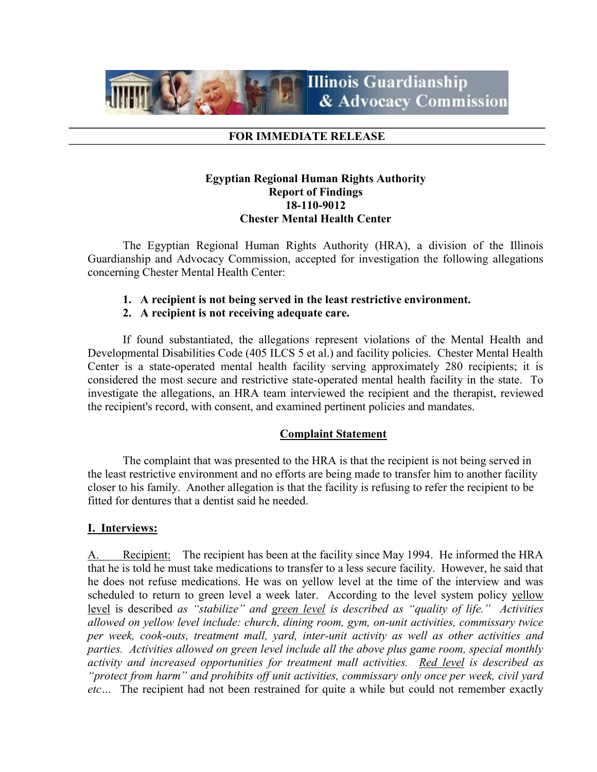

#### FOR IMMEDIATE RELEASE

## Egyptian Regional Human Rights Authority Report of Findings 18-110-9012 Chester Mental Health Center

 The Egyptian Regional Human Rights Authority (HRA), a division of the Illinois Guardianship and Advocacy Commission, accepted for investigation the following allegations concerning Chester Mental Health Center:

## 1. A recipient is not being served in the least restrictive environment.

### 2. A recipient is not receiving adequate care.

If found substantiated, the allegations represent violations of the Mental Health and Developmental Disabilities Code (405 ILCS 5 et al.) and facility policies. Chester Mental Health Center is a state-operated mental health facility serving approximately 280 recipients; it is considered the most secure and restrictive state-operated mental health facility in the state. To investigate the allegations, an HRA team interviewed the recipient and the therapist, reviewed the recipient's record, with consent, and examined pertinent policies and mandates.

## Complaint Statement

The complaint that was presented to the HRA is that the recipient is not being served in the least restrictive environment and no efforts are being made to transfer him to another facility closer to his family. Another allegation is that the facility is refusing to refer the recipient to be fitted for dentures that a dentist said he needed.

## I. Interviews:

A. Recipient: The recipient has been at the facility since May 1994. He informed the HRA that he is told he must take medications to transfer to a less secure facility. However, he said that he does not refuse medications. He was on yellow level at the time of the interview and was scheduled to return to green level a week later. According to the level system policy yellow level is described as "stabilize" and green level is described as "quality of life." Activities allowed on yellow level include: church, dining room, gym, on-unit activities, commissary twice per week, cook-outs, treatment mall, yard, inter-unit activity as well as other activities and parties. Activities allowed on green level include all the above plus game room, special monthly activity and increased opportunities for treatment mall activities. Red level is described as "protect from harm" and prohibits off unit activities, commissary only once per week, civil yard etc... The recipient had not been restrained for quite a while but could not remember exactly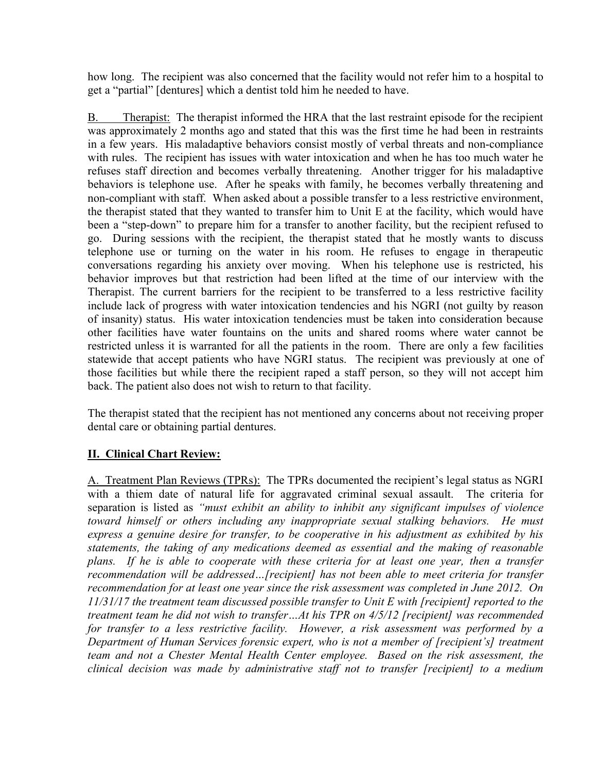how long. The recipient was also concerned that the facility would not refer him to a hospital to get a "partial" [dentures] which a dentist told him he needed to have.

B. Therapist: The therapist informed the HRA that the last restraint episode for the recipient was approximately 2 months ago and stated that this was the first time he had been in restraints in a few years. His maladaptive behaviors consist mostly of verbal threats and non-compliance with rules. The recipient has issues with water intoxication and when he has too much water he refuses staff direction and becomes verbally threatening. Another trigger for his maladaptive behaviors is telephone use. After he speaks with family, he becomes verbally threatening and non-compliant with staff. When asked about a possible transfer to a less restrictive environment, the therapist stated that they wanted to transfer him to Unit E at the facility, which would have been a "step-down" to prepare him for a transfer to another facility, but the recipient refused to go. During sessions with the recipient, the therapist stated that he mostly wants to discuss telephone use or turning on the water in his room. He refuses to engage in therapeutic conversations regarding his anxiety over moving. When his telephone use is restricted, his behavior improves but that restriction had been lifted at the time of our interview with the Therapist. The current barriers for the recipient to be transferred to a less restrictive facility include lack of progress with water intoxication tendencies and his NGRI (not guilty by reason of insanity) status. His water intoxication tendencies must be taken into consideration because other facilities have water fountains on the units and shared rooms where water cannot be restricted unless it is warranted for all the patients in the room. There are only a few facilities statewide that accept patients who have NGRI status. The recipient was previously at one of those facilities but while there the recipient raped a staff person, so they will not accept him back. The patient also does not wish to return to that facility.

The therapist stated that the recipient has not mentioned any concerns about not receiving proper dental care or obtaining partial dentures.

# II. Clinical Chart Review:

A. Treatment Plan Reviews (TPRs): The TPRs documented the recipient's legal status as NGRI with a thiem date of natural life for aggravated criminal sexual assault. The criteria for separation is listed as "must exhibit an ability to inhibit any significant impulses of violence toward himself or others including any inappropriate sexual stalking behaviors. He must express a genuine desire for transfer, to be cooperative in his adjustment as exhibited by his statements, the taking of any medications deemed as essential and the making of reasonable plans. If he is able to cooperate with these criteria for at least one year, then a transfer recommendation will be addressed...[recipient] has not been able to meet criteria for transfer recommendation for at least one year since the risk assessment was completed in June 2012. On 11/31/17 the treatment team discussed possible transfer to Unit E with [recipient] reported to the treatment team he did not wish to transfer…At his TPR on 4/5/12 [recipient] was recommended for transfer to a less restrictive facility. However, a risk assessment was performed by a Department of Human Services forensic expert, who is not a member of [recipient's] treatment team and not a Chester Mental Health Center employee. Based on the risk assessment, the clinical decision was made by administrative staff not to transfer [recipient] to a medium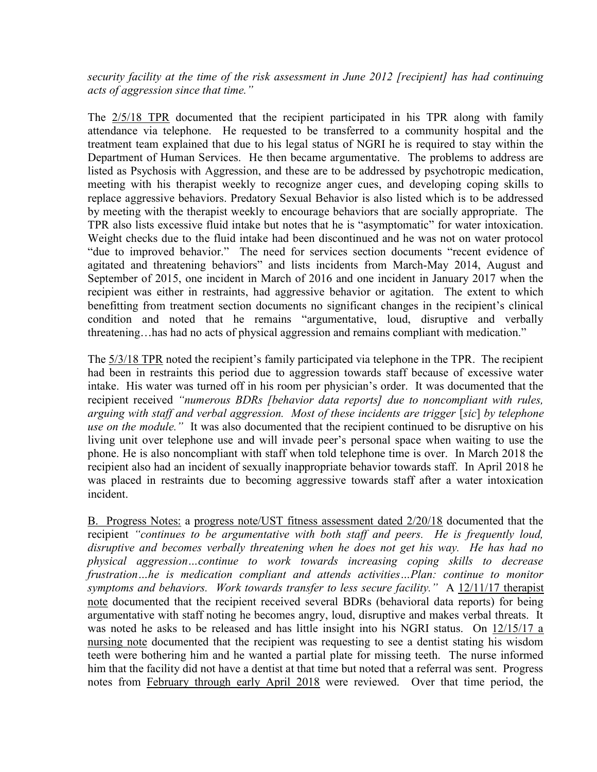security facility at the time of the risk assessment in June 2012 [recipient] has had continuing acts of aggression since that time."

The 2/5/18 TPR documented that the recipient participated in his TPR along with family attendance via telephone. He requested to be transferred to a community hospital and the treatment team explained that due to his legal status of NGRI he is required to stay within the Department of Human Services. He then became argumentative. The problems to address are listed as Psychosis with Aggression, and these are to be addressed by psychotropic medication, meeting with his therapist weekly to recognize anger cues, and developing coping skills to replace aggressive behaviors. Predatory Sexual Behavior is also listed which is to be addressed by meeting with the therapist weekly to encourage behaviors that are socially appropriate. The TPR also lists excessive fluid intake but notes that he is "asymptomatic" for water intoxication. Weight checks due to the fluid intake had been discontinued and he was not on water protocol "due to improved behavior." The need for services section documents "recent evidence of agitated and threatening behaviors" and lists incidents from March-May 2014, August and September of 2015, one incident in March of 2016 and one incident in January 2017 when the recipient was either in restraints, had aggressive behavior or agitation. The extent to which benefitting from treatment section documents no significant changes in the recipient's clinical condition and noted that he remains "argumentative, loud, disruptive and verbally threatening…has had no acts of physical aggression and remains compliant with medication."

The 5/3/18 TPR noted the recipient's family participated via telephone in the TPR. The recipient had been in restraints this period due to aggression towards staff because of excessive water intake. His water was turned off in his room per physician's order. It was documented that the recipient received "numerous BDRs [behavior data reports] due to noncompliant with rules, arguing with staff and verbal aggression. Most of these incidents are trigger [sic] by telephone use on the module." It was also documented that the recipient continued to be disruptive on his living unit over telephone use and will invade peer's personal space when waiting to use the phone. He is also noncompliant with staff when told telephone time is over. In March 2018 the recipient also had an incident of sexually inappropriate behavior towards staff. In April 2018 he was placed in restraints due to becoming aggressive towards staff after a water intoxication incident.

B. Progress Notes: a progress note/UST fitness assessment dated 2/20/18 documented that the recipient "continues to be argumentative with both staff and peers. He is frequently loud, disruptive and becomes verbally threatening when he does not get his way. He has had no physical aggression…continue to work towards increasing coping skills to decrease frustration…he is medication compliant and attends activities…Plan: continue to monitor symptoms and behaviors. Work towards transfer to less secure facility." A  $12/11/17$  therapist note documented that the recipient received several BDRs (behavioral data reports) for being argumentative with staff noting he becomes angry, loud, disruptive and makes verbal threats. It was noted he asks to be released and has little insight into his NGRI status. On 12/15/17 a nursing note documented that the recipient was requesting to see a dentist stating his wisdom teeth were bothering him and he wanted a partial plate for missing teeth. The nurse informed him that the facility did not have a dentist at that time but noted that a referral was sent. Progress notes from February through early April 2018 were reviewed. Over that time period, the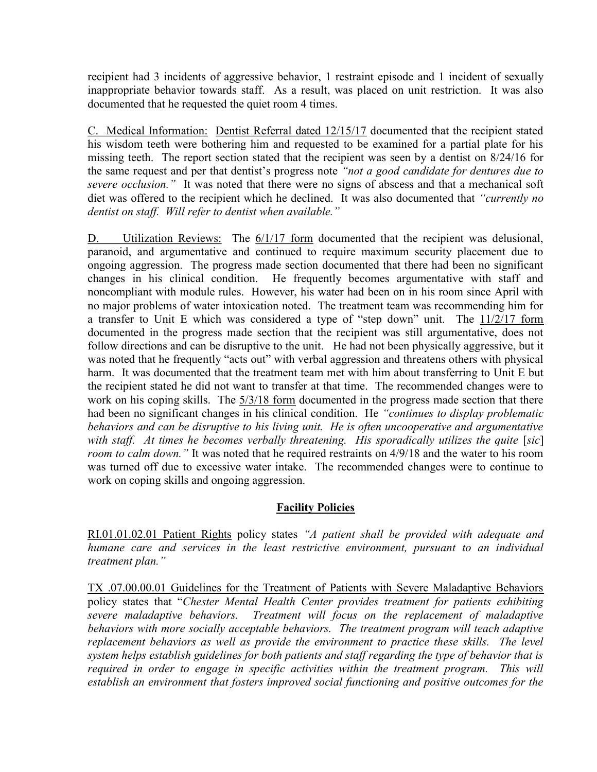recipient had 3 incidents of aggressive behavior, 1 restraint episode and 1 incident of sexually inappropriate behavior towards staff. As a result, was placed on unit restriction. It was also documented that he requested the quiet room 4 times.

C. Medical Information: Dentist Referral dated 12/15/17 documented that the recipient stated his wisdom teeth were bothering him and requested to be examined for a partial plate for his missing teeth. The report section stated that the recipient was seen by a dentist on 8/24/16 for the same request and per that dentist's progress note "not a good candidate for dentures due to severe occlusion." It was noted that there were no signs of abscess and that a mechanical soft diet was offered to the recipient which he declined. It was also documented that "currently no dentist on staff. Will refer to dentist when available."

D. Utilization Reviews: The 6/1/17 form documented that the recipient was delusional, paranoid, and argumentative and continued to require maximum security placement due to ongoing aggression. The progress made section documented that there had been no significant changes in his clinical condition. He frequently becomes argumentative with staff and noncompliant with module rules. However, his water had been on in his room since April with no major problems of water intoxication noted. The treatment team was recommending him for a transfer to Unit E which was considered a type of "step down" unit. The  $11/2/17$  form documented in the progress made section that the recipient was still argumentative, does not follow directions and can be disruptive to the unit. He had not been physically aggressive, but it was noted that he frequently "acts out" with verbal aggression and threatens others with physical harm. It was documented that the treatment team met with him about transferring to Unit E but the recipient stated he did not want to transfer at that time. The recommended changes were to work on his coping skills. The  $\frac{5}{3}/\frac{18}{18}$  form documented in the progress made section that there had been no significant changes in his clinical condition. He "continues to display problematic behaviors and can be disruptive to his living unit. He is often uncooperative and argumentative with staff. At times he becomes verbally threatening. His sporadically utilizes the quite [sic] room to calm down." It was noted that he required restraints on  $4/9/18$  and the water to his room was turned off due to excessive water intake. The recommended changes were to continue to work on coping skills and ongoing aggression.

# **Facility Policies**

RI.01.01.02.01 Patient Rights policy states "A patient shall be provided with adequate and humane care and services in the least restrictive environment, pursuant to an individual treatment plan."

TX .07.00.00.01 Guidelines for the Treatment of Patients with Severe Maladaptive Behaviors policy states that "Chester Mental Health Center provides treatment for patients exhibiting severe maladaptive behaviors. Treatment will focus on the replacement of maladaptive behaviors with more socially acceptable behaviors. The treatment program will teach adaptive replacement behaviors as well as provide the environment to practice these skills. The level system helps establish guidelines for both patients and staff regarding the type of behavior that is required in order to engage in specific activities within the treatment program. This will establish an environment that fosters improved social functioning and positive outcomes for the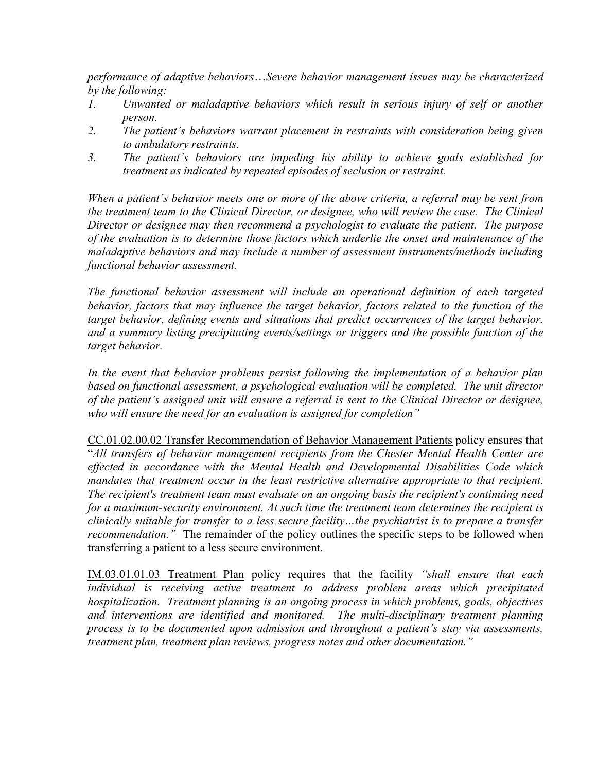performance of adaptive behaviors…Severe behavior management issues may be characterized by the following:

- 1. Unwanted or maladaptive behaviors which result in serious injury of self or another person.
- 2. The patient's behaviors warrant placement in restraints with consideration being given to ambulatory restraints.
- 3. The patient's behaviors are impeding his ability to achieve goals established for treatment as indicated by repeated episodes of seclusion or restraint.

When a patient's behavior meets one or more of the above criteria, a referral may be sent from the treatment team to the Clinical Director, or designee, who will review the case. The Clinical Director or designee may then recommend a psychologist to evaluate the patient. The purpose of the evaluation is to determine those factors which underlie the onset and maintenance of the maladaptive behaviors and may include a number of assessment instruments/methods including functional behavior assessment.

The functional behavior assessment will include an operational definition of each targeted behavior, factors that may influence the target behavior, factors related to the function of the target behavior, defining events and situations that predict occurrences of the target behavior, and a summary listing precipitating events/settings or triggers and the possible function of the target behavior.

In the event that behavior problems persist following the implementation of a behavior plan based on functional assessment, a psychological evaluation will be completed. The unit director of the patient's assigned unit will ensure a referral is sent to the Clinical Director or designee, who will ensure the need for an evaluation is assigned for completion"

CC.01.02.00.02 Transfer Recommendation of Behavior Management Patients policy ensures that "All transfers of behavior management recipients from the Chester Mental Health Center are effected in accordance with the Mental Health and Developmental Disabilities Code which mandates that treatment occur in the least restrictive alternative appropriate to that recipient. The recipient's treatment team must evaluate on an ongoing basis the recipient's continuing need for a maximum-security environment. At such time the treatment team determines the recipient is clinically suitable for transfer to a less secure facility…the psychiatrist is to prepare a transfer recommendation." The remainder of the policy outlines the specific steps to be followed when transferring a patient to a less secure environment.

IM.03.01.01.03 Treatment Plan policy requires that the facility "shall ensure that each individual is receiving active treatment to address problem areas which precipitated hospitalization. Treatment planning is an ongoing process in which problems, goals, objectives and interventions are identified and monitored. The multi-disciplinary treatment planning process is to be documented upon admission and throughout a patient's stay via assessments, treatment plan, treatment plan reviews, progress notes and other documentation."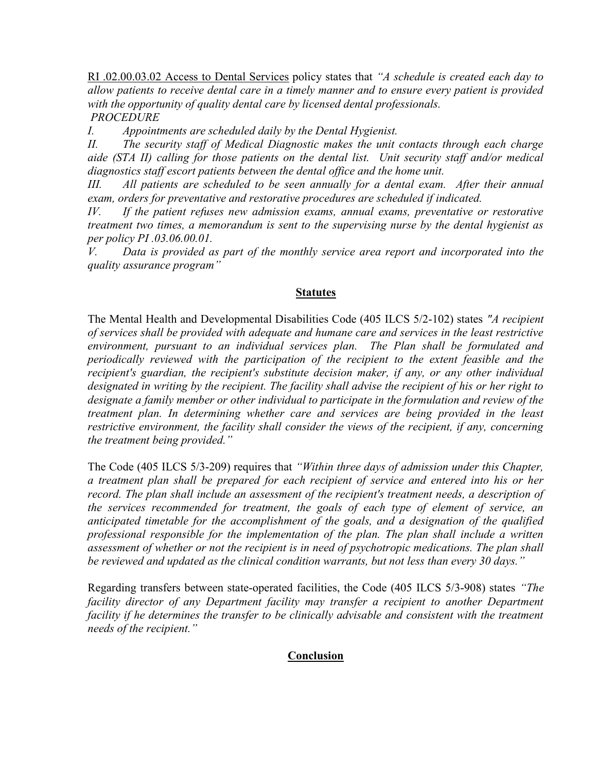RI .02.00.03.02 Access to Dental Services policy states that "A schedule is created each day to allow patients to receive dental care in a timely manner and to ensure every patient is provided with the opportunity of quality dental care by licensed dental professionals. PROCEDURE

I. Appointments are scheduled daily by the Dental Hygienist.

II. The security staff of Medical Diagnostic makes the unit contacts through each charge aide (STA II) calling for those patients on the dental list. Unit security staff and/or medical diagnostics staff escort patients between the dental office and the home unit.

III. All patients are scheduled to be seen annually for a dental exam. After their annual exam, orders for preventative and restorative procedures are scheduled if indicated.

IV. If the patient refuses new admission exams, annual exams, preventative or restorative treatment two times, a memorandum is sent to the supervising nurse by the dental hygienist as per policy PI .03.06.00.01.

V. Data is provided as part of the monthly service area report and incorporated into the quality assurance program"

## **Statutes**

The Mental Health and Developmental Disabilities Code (405 ILCS 5/2-102) states "A recipient of services shall be provided with adequate and humane care and services in the least restrictive environment, pursuant to an individual services plan. The Plan shall be formulated and periodically reviewed with the participation of the recipient to the extent feasible and the recipient's guardian, the recipient's substitute decision maker, if any, or any other individual designated in writing by the recipient. The facility shall advise the recipient of his or her right to designate a family member or other individual to participate in the formulation and review of the treatment plan. In determining whether care and services are being provided in the least restrictive environment, the facility shall consider the views of the recipient, if any, concerning the treatment being provided."

The Code (405 ILCS 5/3-209) requires that "Within three days of admission under this Chapter, a treatment plan shall be prepared for each recipient of service and entered into his or her record. The plan shall include an assessment of the recipient's treatment needs, a description of the services recommended for treatment, the goals of each type of element of service, an anticipated timetable for the accomplishment of the goals, and a designation of the qualified professional responsible for the implementation of the plan. The plan shall include a written assessment of whether or not the recipient is in need of psychotropic medications. The plan shall be reviewed and updated as the clinical condition warrants, but not less than every 30 days."

Regarding transfers between state-operated facilities, the Code (405 ILCS 5/3-908) states "The facility director of any Department facility may transfer a recipient to another Department facility if he determines the transfer to be clinically advisable and consistent with the treatment needs of the recipient."

## Conclusion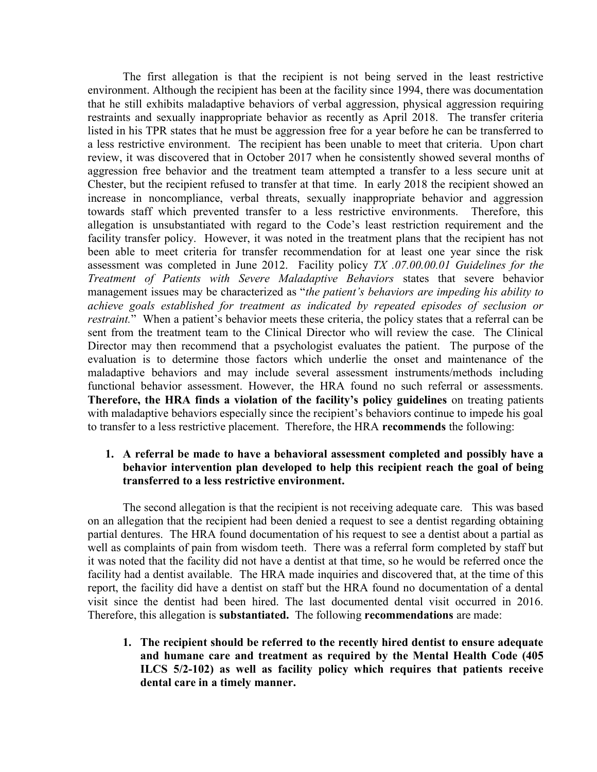The first allegation is that the recipient is not being served in the least restrictive environment. Although the recipient has been at the facility since 1994, there was documentation that he still exhibits maladaptive behaviors of verbal aggression, physical aggression requiring restraints and sexually inappropriate behavior as recently as April 2018. The transfer criteria listed in his TPR states that he must be aggression free for a year before he can be transferred to a less restrictive environment. The recipient has been unable to meet that criteria. Upon chart review, it was discovered that in October 2017 when he consistently showed several months of aggression free behavior and the treatment team attempted a transfer to a less secure unit at Chester, but the recipient refused to transfer at that time. In early 2018 the recipient showed an increase in noncompliance, verbal threats, sexually inappropriate behavior and aggression towards staff which prevented transfer to a less restrictive environments. Therefore, this allegation is unsubstantiated with regard to the Code's least restriction requirement and the facility transfer policy. However, it was noted in the treatment plans that the recipient has not been able to meet criteria for transfer recommendation for at least one year since the risk assessment was completed in June 2012. Facility policy TX .07.00.00.01 Guidelines for the Treatment of Patients with Severe Maladaptive Behaviors states that severe behavior management issues may be characterized as "the patient's behaviors are impeding his ability to achieve goals established for treatment as indicated by repeated episodes of seclusion or restraint." When a patient's behavior meets these criteria, the policy states that a referral can be sent from the treatment team to the Clinical Director who will review the case. The Clinical Director may then recommend that a psychologist evaluates the patient. The purpose of the evaluation is to determine those factors which underlie the onset and maintenance of the maladaptive behaviors and may include several assessment instruments/methods including functional behavior assessment. However, the HRA found no such referral or assessments. Therefore, the HRA finds a violation of the facility's policy guidelines on treating patients with maladaptive behaviors especially since the recipient's behaviors continue to impede his goal to transfer to a less restrictive placement. Therefore, the HRA recommends the following:

## 1. A referral be made to have a behavioral assessment completed and possibly have a behavior intervention plan developed to help this recipient reach the goal of being transferred to a less restrictive environment.

The second allegation is that the recipient is not receiving adequate care. This was based on an allegation that the recipient had been denied a request to see a dentist regarding obtaining partial dentures. The HRA found documentation of his request to see a dentist about a partial as well as complaints of pain from wisdom teeth. There was a referral form completed by staff but it was noted that the facility did not have a dentist at that time, so he would be referred once the facility had a dentist available. The HRA made inquiries and discovered that, at the time of this report, the facility did have a dentist on staff but the HRA found no documentation of a dental visit since the dentist had been hired. The last documented dental visit occurred in 2016. Therefore, this allegation is substantiated. The following recommendations are made:

1. The recipient should be referred to the recently hired dentist to ensure adequate and humane care and treatment as required by the Mental Health Code (405 ILCS 5/2-102) as well as facility policy which requires that patients receive dental care in a timely manner.